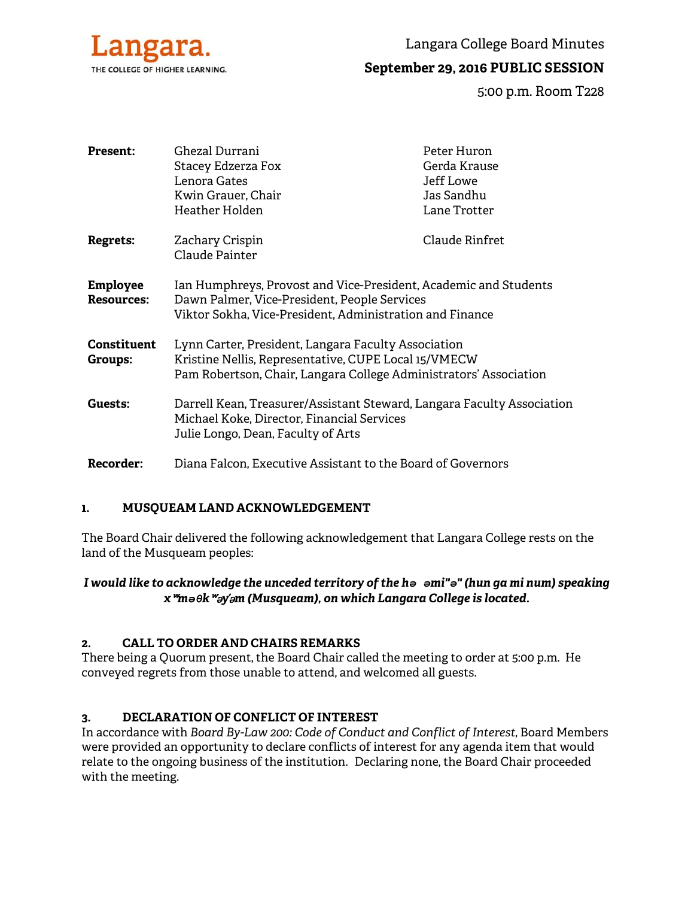

Langara College Board Minutes

# **September 29, 2016 PUBLIC SESSION**

5:00 p.m. Room T228

| <b>Present:</b>                      | Ghezal Durrani                                                                                                   | Peter Huron    |
|--------------------------------------|------------------------------------------------------------------------------------------------------------------|----------------|
|                                      | Stacey Edzerza Fox                                                                                               | Gerda Krause   |
|                                      | Lenora Gates                                                                                                     | Jeff Lowe      |
|                                      | Kwin Grauer, Chair                                                                                               | Jas Sandhu     |
|                                      | Heather Holden                                                                                                   | Lane Trotter   |
| <b>Regrets:</b>                      | Zachary Crispin                                                                                                  | Claude Rinfret |
|                                      | Claude Painter                                                                                                   |                |
| <b>Employee</b><br><b>Resources:</b> | Ian Humphreys, Provost and Vice-President, Academic and Students<br>Dawn Palmer, Vice-President, People Services |                |
|                                      | Viktor Sokha, Vice-President, Administration and Finance                                                         |                |
| <b>Constituent</b>                   | Lynn Carter, President, Langara Faculty Association                                                              |                |
| Groups:                              | Kristine Nellis, Representative, CUPE Local 15/VMECW                                                             |                |
|                                      | Pam Robertson, Chair, Langara College Administrators' Association                                                |                |
| Guests:                              | Darrell Kean, Treasurer/Assistant Steward, Langara Faculty Association                                           |                |
|                                      | Michael Koke, Director, Financial Services                                                                       |                |
|                                      | Julie Longo, Dean, Faculty of Arts                                                                               |                |
| Recorder:                            | Diana Falcon, Executive Assistant to the Board of Governors                                                      |                |

# **1. MUSQUEAM LAND ACKNOWLEDGEMENT**

The Board Chair delivered the following acknowledgement that Langara College rests on the land of the Musqueam peoples:

## *I would like to acknowledge the unceded territory of the hə əmi"ə" (hun ga mi num) speaking x*ʷ*məθk*ʷə*y*̓ə*m (Musqueam), on which Langara College is located.*

## **2. CALL TO ORDER AND CHAIRS REMARKS**

There being a Quorum present, the Board Chair called the meeting to order at 5:00 p.m. He conveyed regrets from those unable to attend, and welcomed all guests.

## **3. DECLARATION OF CONFLICT OF INTEREST**

In accordance with *Board By-Law 200: Code of Conduct and Conflict of Interest*, Board Members were provided an opportunity to declare conflicts of interest for any agenda item that would relate to the ongoing business of the institution. Declaring none, the Board Chair proceeded with the meeting.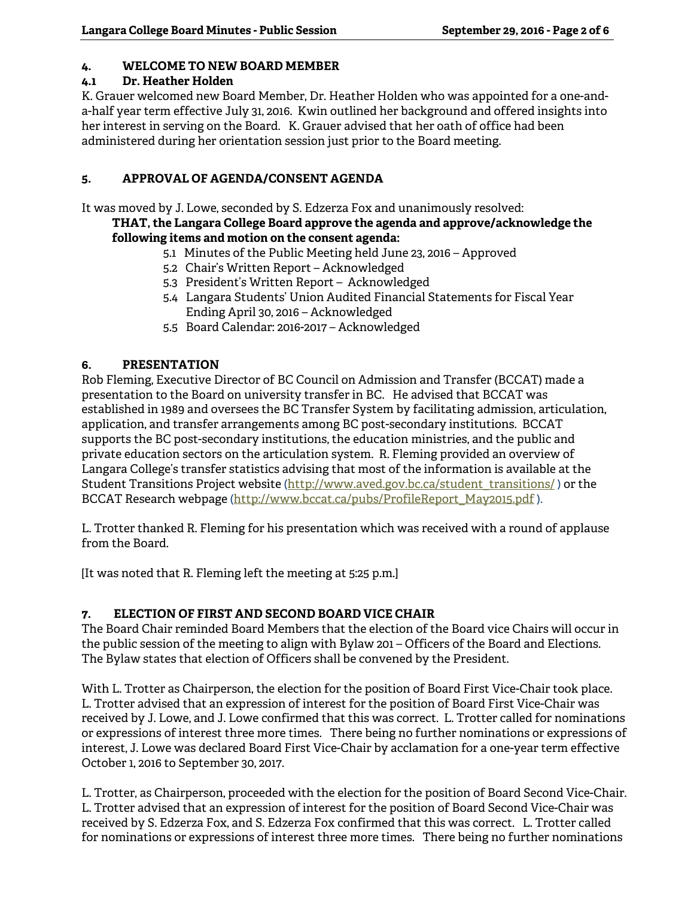## **4. WELCOME TO NEW BOARD MEMBER**

## **4.1 Dr. Heather Holden**

K. Grauer welcomed new Board Member, Dr. Heather Holden who was appointed for a one-anda-half year term effective July 31, 2016. Kwin outlined her background and offered insights into her interest in serving on the Board. K. Grauer advised that her oath of office had been administered during her orientation session just prior to the Board meeting.

## **5. APPROVAL OF AGENDA/CONSENT AGENDA**

It was moved by J. Lowe, seconded by S. Edzerza Fox and unanimously resolved:

## **THAT, the Langara College Board approve the agenda and approve/acknowledge the following items and motion on the consent agenda:**

- 5.1 Minutes of the Public Meeting held June 23, 2016 Approved
- 5.2 Chair's Written Report Acknowledged
- 5.3 President's Written Report Acknowledged
- 5.4 Langara Students' Union Audited Financial Statements for Fiscal Year Ending April 30, 2016 – Acknowledged
- 5.5 Board Calendar: 2016-2017 Acknowledged

# **6. PRESENTATION**

Rob Fleming, Executive Director of BC Council on Admission and Transfer (BCCAT) made a presentation to the Board on university transfer in BC. He advised that BCCAT was established in 1989 and oversees the BC Transfer System by facilitating admission, articulation, application, and transfer arrangements among BC post-secondary institutions. BCCAT supports the BC post-secondary institutions, the education ministries, and the public and private education sectors on the articulation system. R. Fleming provided an overview of Langara College's transfer statistics advising that most of the information is available at the Student Transitions Project website (http://www.aved.gov.bc.ca/student\_transitions/ ) or the BCCAT Research webpage (http://www.bccat.ca/pubs/ProfileReport\_May2015.pdf ).

L. Trotter thanked R. Fleming for his presentation which was received with a round of applause from the Board.

[It was noted that R. Fleming left the meeting at 5:25 p.m.]

## **7. ELECTION OF FIRST AND SECOND BOARD VICE CHAIR**

The Board Chair reminded Board Members that the election of the Board vice Chairs will occur in the public session of the meeting to align with Bylaw 201 – Officers of the Board and Elections. The Bylaw states that election of Officers shall be convened by the President.

With L. Trotter as Chairperson, the election for the position of Board First Vice-Chair took place. L. Trotter advised that an expression of interest for the position of Board First Vice-Chair was received by J. Lowe, and J. Lowe confirmed that this was correct. L. Trotter called for nominations or expressions of interest three more times. There being no further nominations or expressions of interest, J. Lowe was declared Board First Vice-Chair by acclamation for a one-year term effective October 1, 2016 to September 30, 2017.

L. Trotter, as Chairperson, proceeded with the election for the position of Board Second Vice-Chair. L. Trotter advised that an expression of interest for the position of Board Second Vice-Chair was received by S. Edzerza Fox, and S. Edzerza Fox confirmed that this was correct. L. Trotter called for nominations or expressions of interest three more times. There being no further nominations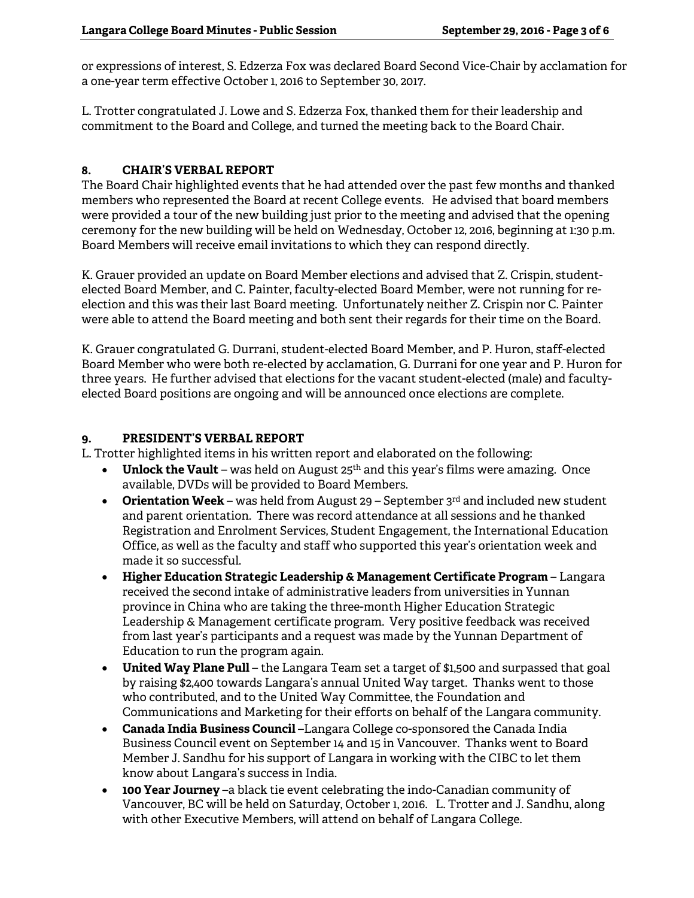or expressions of interest, S. Edzerza Fox was declared Board Second Vice-Chair by acclamation for a one-year term effective October 1, 2016 to September 30, 2017.

L. Trotter congratulated J. Lowe and S. Edzerza Fox, thanked them for their leadership and commitment to the Board and College, and turned the meeting back to the Board Chair.

## **8. CHAIR'S VERBAL REPORT**

The Board Chair highlighted events that he had attended over the past few months and thanked members who represented the Board at recent College events. He advised that board members were provided a tour of the new building just prior to the meeting and advised that the opening ceremony for the new building will be held on Wednesday, October 12, 2016, beginning at 1:30 p.m. Board Members will receive email invitations to which they can respond directly.

K. Grauer provided an update on Board Member elections and advised that Z. Crispin, studentelected Board Member, and C. Painter, faculty-elected Board Member, were not running for reelection and this was their last Board meeting. Unfortunately neither Z. Crispin nor C. Painter were able to attend the Board meeting and both sent their regards for their time on the Board.

K. Grauer congratulated G. Durrani, student-elected Board Member, and P. Huron, staff-elected Board Member who were both re-elected by acclamation, G. Durrani for one year and P. Huron for three years. He further advised that elections for the vacant student-elected (male) and facultyelected Board positions are ongoing and will be announced once elections are complete.

## **9. PRESIDENT'S VERBAL REPORT**

L. Trotter highlighted items in his written report and elaborated on the following:

- **Unlock the Vault** was held on August 25<sup>th</sup> and this year's films were amazing. Once available, DVDs will be provided to Board Members.
- **Orientation Week** was held from August 29 September 3rd and included new student and parent orientation. There was record attendance at all sessions and he thanked Registration and Enrolment Services, Student Engagement, the International Education Office, as well as the faculty and staff who supported this year's orientation week and made it so successful.
- **Higher Education Strategic Leadership & Management Certificate Program** Langara received the second intake of administrative leaders from universities in Yunnan province in China who are taking the three-month Higher Education Strategic Leadership & Management certificate program. Very positive feedback was received from last year's participants and a request was made by the Yunnan Department of Education to run the program again.
- **United Way Plane Pull** the Langara Team set a target of \$1,500 and surpassed that goal by raising \$2,400 towards Langara's annual United Way target. Thanks went to those who contributed, and to the United Way Committee, the Foundation and Communications and Marketing for their efforts on behalf of the Langara community.
- **Canada India Business Council** –Langara College co-sponsored the Canada India Business Council event on September 14 and 15 in Vancouver. Thanks went to Board Member J. Sandhu for his support of Langara in working with the CIBC to let them know about Langara's success in India.
- **100 Year Journey** –a black tie event celebrating the indo-Canadian community of Vancouver, BC will be held on Saturday, October 1, 2016. L. Trotter and J. Sandhu, along with other Executive Members, will attend on behalf of Langara College.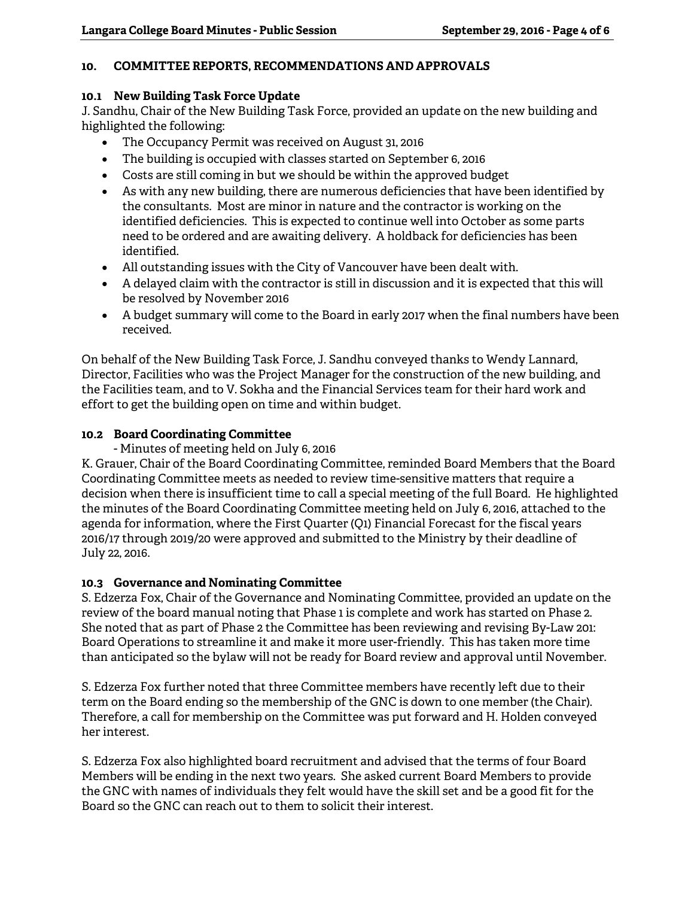## **10. COMMITTEE REPORTS, RECOMMENDATIONS AND APPROVALS**

### **10.1 New Building Task Force Update**

J. Sandhu, Chair of the New Building Task Force, provided an update on the new building and highlighted the following:

- The Occupancy Permit was received on August 31, 2016
- The building is occupied with classes started on September 6, 2016
- Costs are still coming in but we should be within the approved budget
- As with any new building, there are numerous deficiencies that have been identified by the consultants. Most are minor in nature and the contractor is working on the identified deficiencies. This is expected to continue well into October as some parts need to be ordered and are awaiting delivery. A holdback for deficiencies has been identified.
- All outstanding issues with the City of Vancouver have been dealt with.
- A delayed claim with the contractor is still in discussion and it is expected that this will be resolved by November 2016
- A budget summary will come to the Board in early 2017 when the final numbers have been received.

On behalf of the New Building Task Force, J. Sandhu conveyed thanks to Wendy Lannard, Director, Facilities who was the Project Manager for the construction of the new building, and the Facilities team, and to V. Sokha and the Financial Services team for their hard work and effort to get the building open on time and within budget.

## **10.2 Board Coordinating Committee**

- Minutes of meeting held on July 6, 2016

K. Grauer, Chair of the Board Coordinating Committee, reminded Board Members that the Board Coordinating Committee meets as needed to review time-sensitive matters that require a decision when there is insufficient time to call a special meeting of the full Board. He highlighted the minutes of the Board Coordinating Committee meeting held on July 6, 2016, attached to the agenda for information, where the First Quarter (Q1) Financial Forecast for the fiscal years 2016/17 through 2019/20 were approved and submitted to the Ministry by their deadline of July 22, 2016.

## **10.3 Governance and Nominating Committee**

S. Edzerza Fox, Chair of the Governance and Nominating Committee, provided an update on the review of the board manual noting that Phase 1 is complete and work has started on Phase 2. She noted that as part of Phase 2 the Committee has been reviewing and revising By-Law 201: Board Operations to streamline it and make it more user-friendly. This has taken more time than anticipated so the bylaw will not be ready for Board review and approval until November.

S. Edzerza Fox further noted that three Committee members have recently left due to their term on the Board ending so the membership of the GNC is down to one member (the Chair). Therefore, a call for membership on the Committee was put forward and H. Holden conveyed her interest.

S. Edzerza Fox also highlighted board recruitment and advised that the terms of four Board Members will be ending in the next two years. She asked current Board Members to provide the GNC with names of individuals they felt would have the skill set and be a good fit for the Board so the GNC can reach out to them to solicit their interest.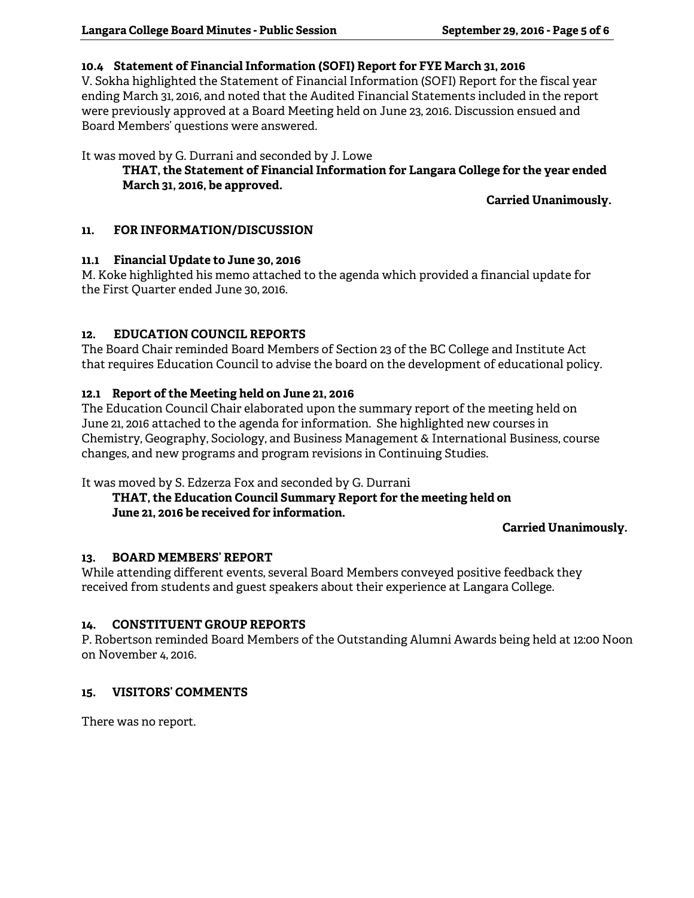### **10.4 Statement of Financial Information (SOFI) Report for FYE March 31, 2016**

V. Sokha highlighted the Statement of Financial Information (SOFI) Report for the fiscal year ending March 31, 2016, and noted that the Audited Financial Statements included in the report were previously approved at a Board Meeting held on June 23, 2016. Discussion ensued and Board Members' questions were answered.

It was moved by G. Durrani and seconded by J. Lowe

## **THAT, the Statement of Financial Information for Langara College for the year ended March 31, 2016, be approved.**

 **Carried Unanimously.** 

## **11. FOR INFORMATION/DISCUSSION**

## **11.1 Financial Update to June 30, 2016**

M. Koke highlighted his memo attached to the agenda which provided a financial update for the First Quarter ended June 30, 2016.

## **12. EDUCATION COUNCIL REPORTS**

The Board Chair reminded Board Members of Section 23 of the BC College and Institute Act that requires Education Council to advise the board on the development of educational policy.

## **12.1 Report of the Meeting held on June 21, 2016**

The Education Council Chair elaborated upon the summary report of the meeting held on June 21, 2016 attached to the agenda for information. She highlighted new courses in Chemistry, Geography, Sociology, and Business Management & International Business, course changes, and new programs and program revisions in Continuing Studies.

It was moved by S. Edzerza Fox and seconded by G. Durrani

## **THAT, the Education Council Summary Report for the meeting held on June 21, 2016 be received for information.**

## **Carried Unanimously.**

## **13. BOARD MEMBERS' REPORT**

While attending different events, several Board Members conveyed positive feedback they received from students and guest speakers about their experience at Langara College.

## **14. CONSTITUENT GROUP REPORTS**

P. Robertson reminded Board Members of the Outstanding Alumni Awards being held at 12:00 Noon on November 4, 2016.

## **15. VISITORS' COMMENTS**

There was no report.